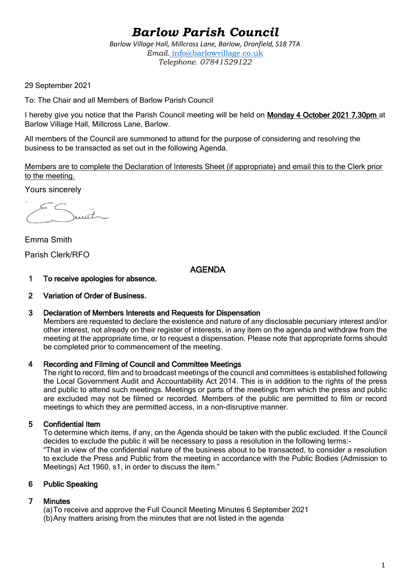# *Barlow Parish Council*

*Barlow Village Hall, Millcross Lane, Barlow, Dronfield, S18 7TA Email.* info@barlowvillage.co.uk *Telephone. 07841529122*

29 September 2021

To: The Chair and all Members of Barlow Parish Council

I hereby give you notice that the Parish Council meeting will be held on Monday 4 October 2021 7.30pm at Barlow Village Hall, Millcross Lane, Barlow.

All members of the Council are summoned to attend for the purpose of considering and resolving the business to be transacted as set out in the following Agenda.

Members are to complete the Declaration of Interests Sheet (if appropriate) and email this to the Clerk prior to the meeting.

Yours sincerely

 $int_{\sim}$ 

Emma Smith Parish Clerk/RFO

AGENDA

- 1 To receive apologies for absence.
- 2 Variation of Order of Business.
- 3 Declaration of Members Interests and Requests for Dispensation

Members are requested to declare the existence and nature of any disclosable pecuniary interest and/or other interest, not already on their register of interests, in any item on the agenda and withdraw from the meeting at the appropriate time, or to request a dispensation. Please note that appropriate forms should be completed prior to commencement of the meeting.

# 4 Recording and Filming of Council and Committee Meetings

The right to record, film and to broadcast meetings of the council and committees is established following the Local Government Audit and Accountability Act 2014. This is in addition to the rights of the press and public to attend such meetings. Meetings or parts of the meetings from which the press and public are excluded may not be filmed or recorded. Members of the public are permitted to film or record meetings to which they are permitted access, in a non-disruptive manner.

# 5 Confidential Item

To determine which items, if any, on the Agenda should be taken with the public excluded. If the Council decides to exclude the public it will be necessary to pass a resolution in the following terms:- "That in view of the confidential nature of the business about to be transacted, to consider a resolution to exclude the Press and Public from the meeting in accordance with the Public Bodies (Admission to Meetings) Act 1960, s1, in order to discuss the item."

#### 6 Public Speaking

# 7 Minutes

(a)To receive and approve the Full Council Meeting Minutes 6 September 2021 (b)Any matters arising from the minutes that are not listed in the agenda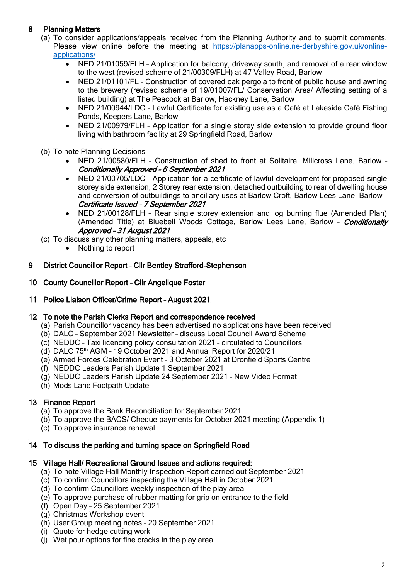# 8 Planning Matters

- (a) To consider applications/appeals received from the Planning Authority and to submit comments. Please view online before the meeting at [https://planapps-online.ne-derbyshire.gov.uk/online](https://planapps-online.ne-derbyshire.gov.uk/online-applications/)[applications/](https://planapps-online.ne-derbyshire.gov.uk/online-applications/)
	- NED 21/01059/FLH Application for balcony, driveway south, and removal of a rear window to the west (revised scheme of 21/00309/FLH) at 47 Valley Road, Barlow
	- NED 21/01101/FL Construction of covered oak pergola to front of public house and awning to the brewery (revised scheme of 19/01007/FL/ Conservation Area/ Affecting setting of a listed building) at The Peacock at Barlow, Hackney Lane, Barlow
	- NED 21/00944/LDC Lawful Certificate for existing use as a Café at Lakeside Café Fishing Ponds, Keepers Lane, Barlow
	- NED 21/00979/FLH Application for a single storey side extension to provide ground floor living with bathroom facility at 29 Springfield Road, Barlow
- (b) To note Planning Decisions
	- NED 21/00580/FLH Construction of shed to front at Solitaire, Millcross Lane, Barlow Conditionally Approved – 6 September 2021
	- NED 21/00705/LDC Application for a certificate of lawful development for proposed single storey side extension, 2 Storey rear extension, detached outbuilding to rear of dwelling house and conversion of outbuildings to ancillary uses at Barlow Croft, Barlow Lees Lane, Barlow - Certificate Issued – 7 September 2021
	- NED 21/00128/FLH Rear single storey extension and log burning flue (Amended Plan) (Amended Title) at Bluebell Woods Cottage, Barlow Lees Lane, Barlow - *Conditionally* Approved – 31 August 2021
- (c) To discuss any other planning matters, appeals, etc
	- Nothing to report

#### 9 District Councillor Report – Cllr Bentley Strafford-Stephenson

- 10 County Councillor Report Cllr Angelique Foster
- 11 Police Liaison Officer/Crime Report August 2021

#### 12 To note the Parish Clerks Report and correspondence received

- (a) Parish Councillor vacancy has been advertised no applications have been received
- (b) DALC September 2021 Newsletter discuss Local Council Award Scheme
- (c) NEDDC Taxi licencing policy consultation 2021 circulated to Councillors
- (d) DALC 75th AGM 19 October 2021 and Annual Report for 2020/21
- (e) Armed Forces Celebration Event 3 October 2021 at Dronfield Sports Centre
- (f) NEDDC Leaders Parish Update 1 September 2021
- (g) NEDDC Leaders Parish Update 24 September 2021 New Video Format
- (h) Mods Lane Footpath Update

# 13 Finance Report

- (a) To approve the Bank Reconciliation for September 2021
- (b) To approve the BACS/ Cheque payments for October 2021 meeting (Appendix 1)
- (c) To approve insurance renewal

# 14 To discuss the parking and turning space on Springfield Road

#### 15 Village Hall/ Recreational Ground Issues and actions required:

- (a) To note Village Hall Monthly Inspection Report carried out September 2021
- (c) To confirm Councillors inspecting the Village Hall in October 2021
- (d) To confirm Councillors weekly inspection of the play area
- (e) To approve purchase of rubber matting for grip on entrance to the field
- (f) Open Day 25 September 2021
- (g) Christmas Workshop event
- (h) User Group meeting notes 20 September 2021
- (i) Quote for hedge cutting work
- (j) Wet pour options for fine cracks in the play area